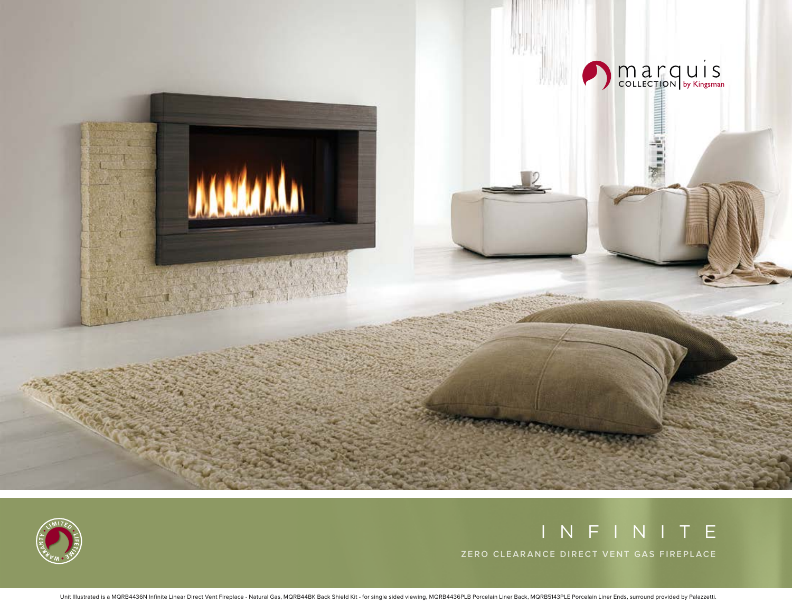



# INFINITE

**ZERO CLEARANCE DIRECT VENT GAS FIREPLACE**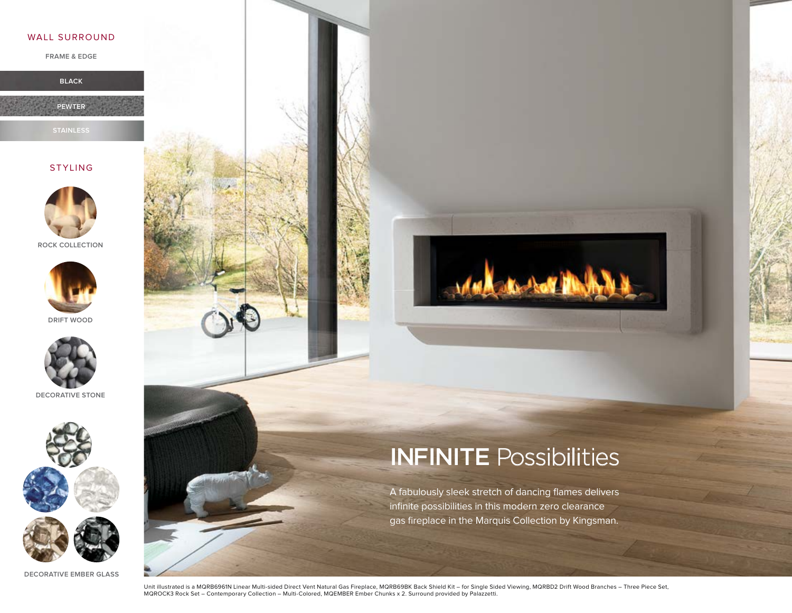

**FRAME & EDGE**

**BLACK PEWTER**

**STAINLESS**

### STYLING



**ROCK COLLECTION**



**DRIFT WOOD**



**DECORATIVE STONE**



**DECORATIVE EMBER GLASS**





A fabulously sleek stretch of dancing flames delivers infinite possibilities in this modern zero clearance gas fireplace in the Marquis Collection by Kingsman.

Unit illustrated is a MQRB6961N Linear Multi-sided Direct Vent Natural Gas Fireplace, MQRB69BK Back Shield Kit – for Single Sided Viewing, MQRBD2 Drift Wood Branches – Three Piece Set, MQROCK3 Rock Set – Contemporary Collection – Multi-Colored, MQEMBER Ember Chunks x 2. Surround provided by Palazzetti.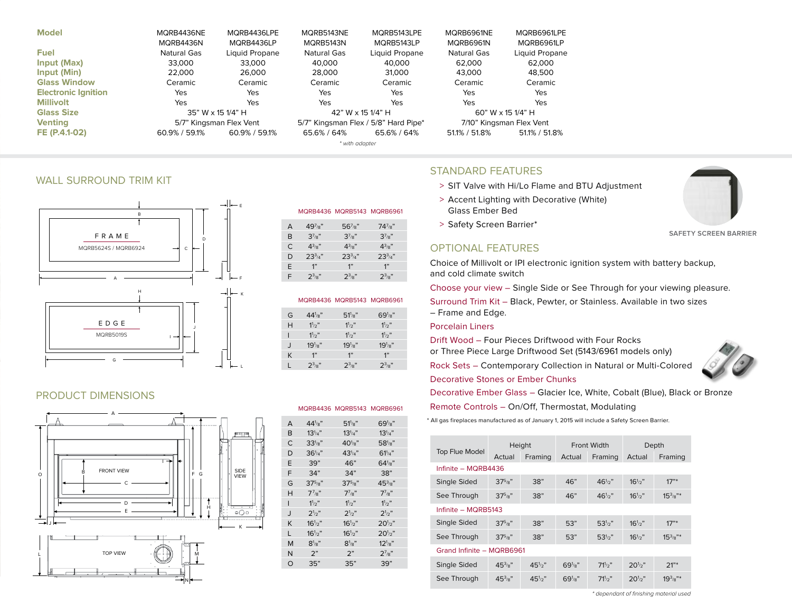| MORB4436NE       |                  |                                              |                |                                                                             |                          |
|------------------|------------------|----------------------------------------------|----------------|-----------------------------------------------------------------------------|--------------------------|
|                  | MORB4436LPE      | MORB5143NE                                   | MQRB5143LPE    | MORB6961NE                                                                  | MQRB6961LPE              |
| MORB4436N        | MQRB4436LP       | MORB5143N                                    | MORB5143LP     | MORB6961N                                                                   | MORB6961LP               |
| Natural Gas      | Liquid Propane   | Natural Gas                                  | Liquid Propane | Natural Gas                                                                 | Liquid Propane           |
| 33,000           | 33,000           | 40,000                                       | 40,000         | 62.000                                                                      | 62,000                   |
| 22,000           | 26,000           | 28,000                                       | 31,000         | 43.000                                                                      | 48,500                   |
| Ceramic          | Ceramic          | Ceramic                                      | Ceramic        | Ceramic                                                                     | Ceramic                  |
| Yes              | Yes              | Yes                                          | Yes            | Yes                                                                         | Yes                      |
| Yes              | Yes              | Yes                                          | Yes            | Yes                                                                         | Yes                      |
|                  |                  |                                              |                |                                                                             | 60" W $\times$ 15 1/4" H |
|                  |                  |                                              |                |                                                                             | 7/10" Kingsman Flex Vent |
| $60.9\%$ / 59.1% | $60.9\%$ / 59.1% | 65.6% / 64%                                  | 65.6% / 64%    | 51.1% / 51.8%                                                               | 51.1% / 51.8%            |
|                  |                  |                                              |                |                                                                             |                          |
|                  |                  | 35" W x 15 1/4" H<br>5/7" Kingsman Flex Vent |                | 42" W x 15 1/4" H<br>5/7" Kingsman Flex / 5/8" Hard Pipe*<br>* with adapter |                          |

## WALL SURROUND TRIM KIT



## PRODUCT DIMENSIONS



| MQRB4436 MQRB5143 MQRB6961 |  |  |  |
|----------------------------|--|--|--|
|                            |  |  |  |

| A  | $49\frac{7}{8}$ | $56\frac{7}{8}$ " | $74^{7}_{8}$ " |
|----|-----------------|-------------------|----------------|
| в  | $3^{7}_{8}$ "   | $3^{7}_{8}$       | $3^{7}_{8}$    |
| C  | $4^{3}_{\,}$ "  | $4^{3}_{\,}$ "    | $4^{3}_{8}$    |
| D  | $23^{3}/4"$     | $23^{3}/4"$       | $23^{3}/4"$    |
| E. | 1"              | 1"                | 1"             |
| F  | $2^{3/8}$       | $2^{3/8}$         | $2^{3/8}$      |

#### MQRB4436 MQRB5143 MQRB6961

| G            | $441/8$ "      | $511/s$ "      | $691/8$ "      |
|--------------|----------------|----------------|----------------|
| н            | $1\frac{1}{2}$ | $1\frac{1}{2}$ | $1\frac{1}{2}$ |
| ı            | $11_{2}$ "     | $11_{2}$ "     | $11_{2}$ "     |
| $\mathbf{J}$ | $19^{1}_{8}$ " | $19^{1}_{8}$ " | $19^{1}_{8}$ " |
| K            | 1"             | 1"             | 1"             |
| L            | $2^{3}/8$      | $2^{3}/8$ "    | $2^{3}/8$ "    |

#### MQRB4436 MQRB5143 MQRB6961

| A            | $441/8$ "      | $51\frac{1}{8}$ | $69'$ /s"       |  |
|--------------|----------------|-----------------|-----------------|--|
| B            | $13^{1/4}$     | $13^{1/4"$      | $13^{1}_{4}$ "  |  |
| C            | $33'$ / $8"$   | $401/8$ "       | $581/8$ "       |  |
| D            | $36^{1/4"$     | $43^{1/4}$      | $61^{1}_{4}$ "  |  |
| E            | 39"            | 46"             | $64\frac{1}{8}$ |  |
| F            | 34"            | 34"             | 38"             |  |
| G            | $37^{5}_{8}$ " | $37^{5}_{8}$ "  | $45^{3}_{8}$ "  |  |
| н            | $7^{7}_{8}$ "  | $7^{7}_{8}$ "   | $7^{7}_{8}$ "   |  |
| L            | $11_{2}$ "     | $11_{2}$ "      | $11_{2}$ "      |  |
| $\mathbf{I}$ | $2^{1/2}$      | $2^{1/2}$       | $2^{1/2}$       |  |
| K            | $16^{1/2}$     | $16^{1/2}$      | $20^{1/2}$      |  |
| L            | $16^{1/2}$     | $16^{1/2}$      | $20^{1/2}$ "    |  |
| м            | $8^{1}_{8}$ "  | $8^{1}_{8}$ "   | $12^{1}_{8}$ "  |  |
| N            | 2"             | 2"              | $2^{7}_{8}$ "   |  |
| O            | 35"            | 35"             | 39"             |  |
|              |                |                 |                 |  |

# STANDARD FEATURES

- > SIT Valve with Hi/Lo Flame and BTU Adjustment
- > Accent Lighting with Decorative (White) Glass Ember Bed
- > Safety Screen Barrier\*

## OPTIONAL FEATURES

Choice of Millivolt or IPI electronic ignition system with battery backup, and cold climate switch

Choose your view – Single Side or See Through for your viewing pleasure.

Surround Trim Kit – Black, Pewter, or Stainless. Available in two sizes – Frame and Edge.

#### Porcelain Liners

Drift Wood – Four Pieces Driftwood with Four Rocks or Three Piece Large Driftwood Set (5143/6961 models only)

Rock Sets – Contemporary Collection in Natural or Multi-Colored Decorative Stones or Ember Chunks

Decorative Ember Glass – Glacier Ice, White, Cobalt (Blue), Black or Bronze

Remote Controls – On/Off, Thermostat, Modulating

\* All gas fireplaces manufactured as of January 1, 2015 will include a Safety Screen Barrier.

|                           | Height         |                     | Front Width |                 | Depth        |                 |
|---------------------------|----------------|---------------------|-------------|-----------------|--------------|-----------------|
| <b>Top Flue Model</b>     | Actual         | Framing             | Actual      | Framing         | Actual       | Framing         |
| Infinite - MQRB4436       |                |                     |             |                 |              |                 |
| Single Sided              | $37^{5}_{8}$   | 38"                 | 46"         | $46\frac{1}{2}$ | $16^{1/2}$ " | 17"             |
| See Through               | $37^{5}_{8}$   | 38"                 | 46"         | $46^{1/2}$      | $16^{1/2}$ " | $15^3$ /8"*     |
| Infinite - MQRB5143       |                |                     |             |                 |              |                 |
| Single Sided              | $37^{5}_{8}$   | 38"                 | 53"         | $53^{1/2}$      | $16^{1/2}$   | 17"             |
| See Through               | $37^{5}_{8}$   | 38"                 | 53"         | $53^{1/2}$      | $16^{1/2}$ " | $15^3$ /s"*     |
| Grand Infinite - MQRB6961 |                |                     |             |                 |              |                 |
| Single Sided              | $45^{3}_{8}$ " | 45 <sup>1</sup> / 2 | $691/8$ "   | $71^{1/2}$      | $20^{1/2}$   | 21"             |
| See Through               | $45^{3}/8$ "   | $45\frac{1}{2}$     | $691/8$ "   | $71^{1/2}$      | $20^{1/2}$ " | $19^{3}_{8}$ "* |



**SAFETY SCREEN BARRIER**